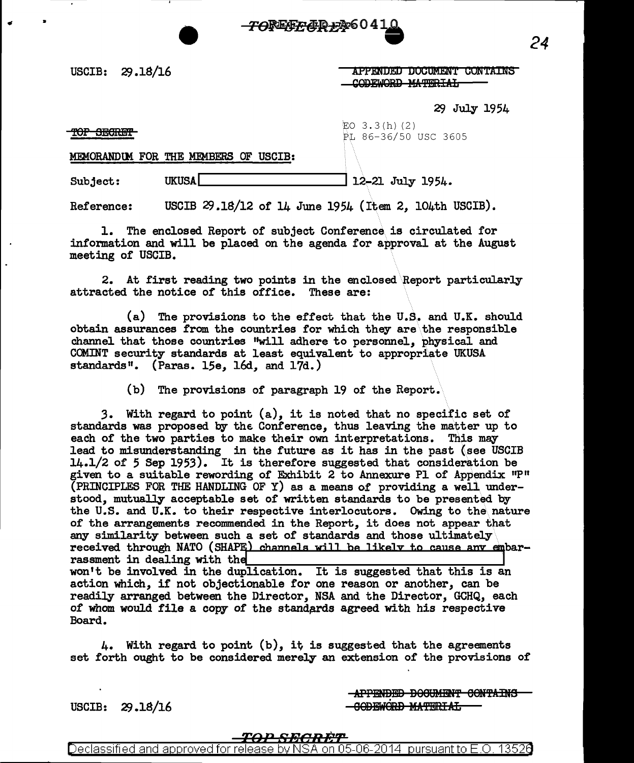

 $USCIB: 29.18/16$ 

APPENDED DOCUMENT CONTAINS CODEWORD MATERIAL

29 July 1954

*24* 

TOP SECRET

•

 $EO$  3.3(h)(2) PL 86-36/50 USC 3605

MEMORANDUM FOR THE MEMBERS OF USCIB:

Subject: UKUSA.....\_ \_\_\_\_\_\_\_ \_\_. 12.-21 July 1954.

Reference: USCIB  $29.18/12$  of 14 June 1954 (Item 2, 104th USCIB).

1. The enclosed. Report of subject Conference is circulated for information and will be placed on the agenda for approval at the August meeting of USCIB.

2. At first reading two points in the enclosed\Report particularly attracted the notice of this office. These are:

(a) The provisions to the effect that the U.S. and U.K. should obtain assurances from the countries for which they are\the responsible channel that those countries ''will adhere to personnel, physical and COMINT security standards at least equivalent to appropriate UKUSA standards". (Paras. 15e, 16d, and 17d.)

(b) The provisions of paragraph 19 of the Report.

*3.* With regard to point (a), it is noted that no specific set of standards was proposed by the Conference, thus leaving the matter up to each of the two parties to make their own interpretations. This may lead to misunderstanding in the future as it has in the past (see USCIB 14.1/2 of *5* Sep 1953). It is therefore suggested that consideration be given to a suitable rewording of Exhibit 2 to Annexure Pl of Appendix  $P$ <sup>11</sup> (PRINCIPLES FOR THE HANDLING OF Y) as a means of providing a well. understood, mutually acceptable set of written standards to be presented by the U.S. and U.K. to their respective interlocutors. Owing to the nature of the arrangements recommended in the Report, it does not appear that any similarity between such a set of standards and those ultimately received through NATO (SHAPE) channels will be likely to cause any embar-rassment in dealing with the won't be involved in the duplication. It is suggested that this is an action which, if not objectionable for one reason or another, can be readily arranged between the Director, NSA and the Director, GCHQ, each of whom would file a copy of the standards agreed with his respective Board.

4. With regard to point (b), it is suggested that the agreements set forth ought to be considered merely an extension of the provisions of

> **-APPENDED BOOUMENT CONTAINS** -GODEWORD MATERIAL

 $USCIB: 29.18/16$ 

## <del>TOP SECRET</del>

<u>eclassified and approved for release by NSA on 05-06-2014 pursuant to E.O. 13526</u>